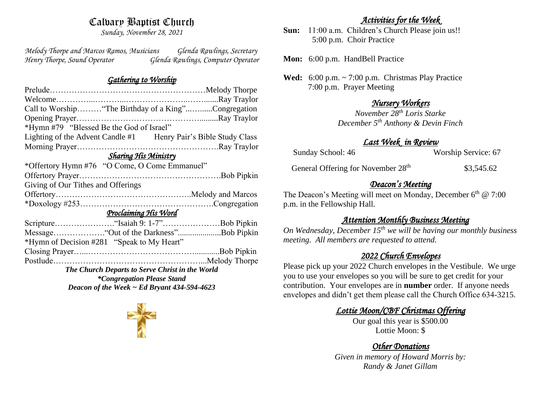## Calvary Baptist Church

*Sunday, November 28, 2021*

*Melody Thorpe and Marcos Ramos, Musicians Glenda Rawlings, Secretary Henry Thorpe, Sound Operator Glenda Rawlings, Computer Operator* 

### *Gathering to Worship*

| Call to Worship "The Birthday of a King"Congregation            |  |  |  |
|-----------------------------------------------------------------|--|--|--|
|                                                                 |  |  |  |
| *Hymn #79 "Blessed Be the God of Israel"                        |  |  |  |
| Lighting of the Advent Candle #1 Henry Pair's Bible Study Class |  |  |  |
|                                                                 |  |  |  |
| Sharing His Ministry                                            |  |  |  |
| *Offertory Hymn #76 "O Come, O Come Emmanuel"                   |  |  |  |
|                                                                 |  |  |  |
| Giving of Our Tithes and Offerings                              |  |  |  |
|                                                                 |  |  |  |
|                                                                 |  |  |  |
| <u>Proclaiming His Word</u>                                     |  |  |  |
|                                                                 |  |  |  |
|                                                                 |  |  |  |
| *Hymn of Decision #281 "Speak to My Heart"                      |  |  |  |
|                                                                 |  |  |  |
|                                                                 |  |  |  |
| The Church Departs to Serve Christ in the World                 |  |  |  |
| <i>*Congregation Please Stand</i>                               |  |  |  |
| Deacon of the Week $\sim$ Ed Bryant 434-594-4623                |  |  |  |

## *Activities for the Week*

**Sun:** 11:00 a.m. Children's Church Please join us!! 5:00 p.m. Choir Practice

**Mon:** 6:00 p.m. HandBell Practice

**Wed:** 6:00 p.m. ~ 7:00 p.m. Christmas Play Practice 7:00 p.m. Prayer Meeting

## *Nursery Workers*

*November 28th Loris Starke December 5th Anthony & Devin Finch* 

### *Last Week in Review*

| Sunday School: 46 | Worship Service: 67 |
|-------------------|---------------------|
|                   |                     |

General Offering for November 28<sup>th</sup> \$3,545.62

## *Deacon's Meeting*

The Deacon's Meeting will meet on Monday, December  $6<sup>th</sup>$  @ 7:00 p.m. in the Fellowship Hall.

## *Attention Monthly Business Meeting*

*On Wednesday, December 15th we will be having our monthly business meeting. All members are requested to attend.* 

### *2022 Church Envelopes*

Please pick up your 2022 Church envelopes in the Vestibule. We urge you to use your envelopes so you will be sure to get credit for your contribution. Your envelopes are in **number** order.If anyone needs envelopes and didn't get them please call the Church Office 634-3215.

## *Lottie Moon/CBF Christmas Offering*

Our goal this year is \$500.00 Lottie Moon: \$

# *Other Donations*

*Given in memory of Howard Morris by: Randy & Janet Gillam*

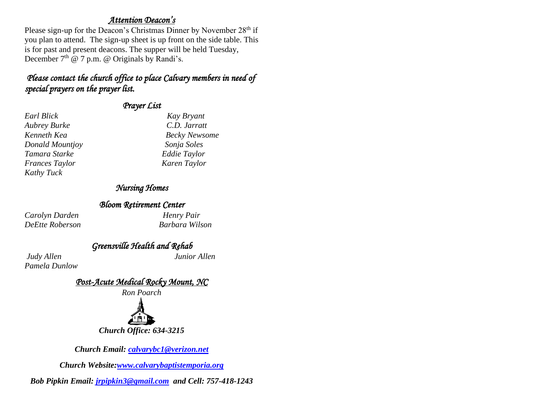#### *Attention Deacon's*

Please sign-up for the Deacon's Christmas Dinner by November  $28<sup>th</sup>$  if you plan to attend. The sign-up sheet is up front on the side table. This is for past and present deacons. The supper will be held Tuesday, December  $7<sup>th</sup>$  @ 7 p.m. @ Originals by Randi's.

## *Please contact the church office to place Calvary members in need of special prayers on the prayer list.*

### *Prayer List*

### *Nursing Homes*

#### *Bloom Retirement Center*

*Carolyn Darden Henry Pair DeEtte Roberson Barbara Wilson* 

*Earl Blick Kay Bryant Aubrey Burke C.D. Jarratt*  **Becky Newsome** *Donald Mountjoy Sonja Soles Tamara Starke Eddie Taylor Frances Taylor Karen Taylor* 

*Pamela Dunlow*

*Greensville Health and Rehab Judy Allen Junior Allen* 

*Post-Acute Medical Rocky Mount, NC* 



*Church Office: 634-3215*

*Church Email: [calvarybc1@verizon.net](mailto:cbcemporiaoffice@gmail.com)*

*Church Website[:www.calvarybaptistemporia.org](http://www.calvarybaptistemporia.org/)*

*Bob Pipkin Email: [jrpipkin3@gmail.com](mailto:jrpipkin3@gmail.com) and Cell: 757-418-1243*